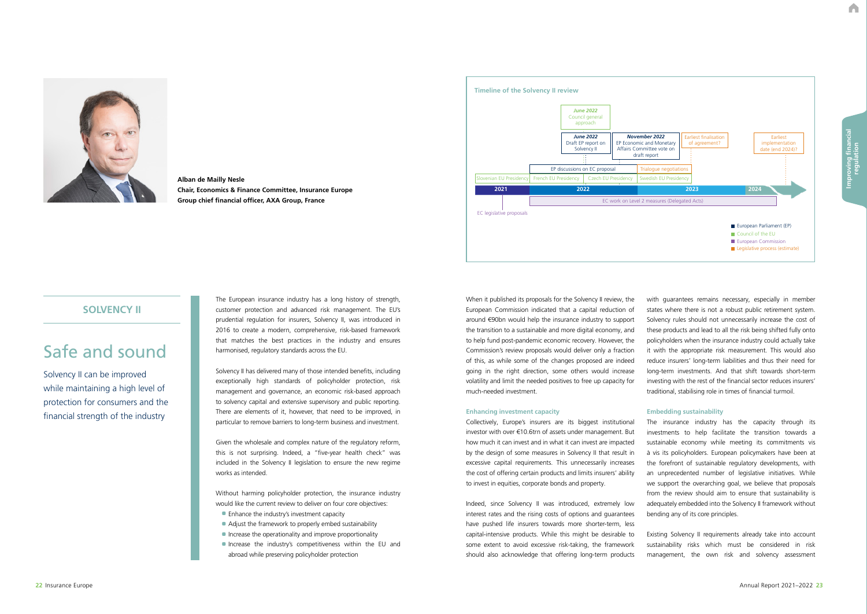A



**Alban de Mailly Nesle Chair, Economics & Finance Committee, Insurance Europe Group chief financial officer, AXA Group, France**

# Safe and sound

Solvency II can be improved while maintaining a high level of protection for consumers and the financial strength of the industry

## **SOLVENCY II**

The European insurance industry has a long history of strength, customer protection and advanced risk management. The EU's prudential regulation for insurers, Solvency II, was introduced in 2016 to create a modern, comprehensive, risk-based framework that matches the best practices in the industry and ensures harmonised, regulatory standards across the EU.

- Enhance the industry's investment capacity
- Adjust the framework to properly embed sustainability
- Increase the operationality and improve proportionality
- •Increase the industry's competitiveness within the EU and abroad while preserving policyholder protection

Solvency II has delivered many of those intended benefits, including exceptionally high standards of policyholder protection, risk management and governance, an economic risk-based approach to solvency capital and extensive supervisory and public reporting. There are elements of it, however, that need to be improved, in particular to remove barriers to long-term business and investment.

Given the wholesale and complex nature of the regulatory reform, this is not surprising. Indeed, a "five-year health check" was included in the Solvency II legislation to ensure the new regime works as intended.

Without harming policyholder protection, the insurance industry would like the current review to deliver on four core objectives:

When it published its proposals for the Solvency II review, the European Commission indicated that a capital reduction of around €90bn would help the insurance industry to support the transition to a sustainable and more digital economy, and to help fund post-pandemic economic recovery. However, the Commission's review proposals would deliver only a fraction of this, as while some of the changes proposed are indeed going in the right direction, some others would increase volatility and limit the needed positives to free up capacity for much-needed investment.

#### **Enhancing investment capacity**

Collectively, Europe's insurers are its biggest institutional investor with over €10.6trn of assets under management. But how much it can invest and in what it can invest are impacted by the design of some measures in Solvency II that result in excessive capital requirements. This unnecessarily increases the cost of offering certain products and limits insurers' ability to invest in equities, corporate bonds and property.

Indeed, since Solvency II was introduced, extremely low interest rates and the rising costs of options and guarantees have pushed life insurers towards more shorter-term, less capital-intensive products. While this might be desirable to some extent to avoid excessive risk-taking, the framework should also acknowledge that offering long-term products

with guarantees remains necessary, especially in member states where there is not a robust public retirement system. Solvency rules should not unnecessarily increase the cost of these products and lead to all the risk being shifted fully onto policyholders when the insurance industry could actually take it with the appropriate risk measurement. This would also reduce insurers' long-term liabilities and thus their need for long-term investments. And that shift towards short-term investing with the rest of the financial sector reduces insurers' traditional, stabilising role in times of financial turmoil.

## **Embedding sustainability**

The insurance industry has the capacity through its investments to help facilitate the transition towards a sustainable economy while meeting its commitments vis à vis its policyholders. European policymakers have been at the forefront of sustainable regulatory developments, with an unprecedented number of legislative initiatives. While we support the overarching goal, we believe that proposals from the review should aim to ensure that sustainability is adequately embedded into the Solvency II framework without bending any of its core principles.

Existing Solvency II requirements already take into account sustainability risks which must be considered in risk management, the own risk and solvency assessment